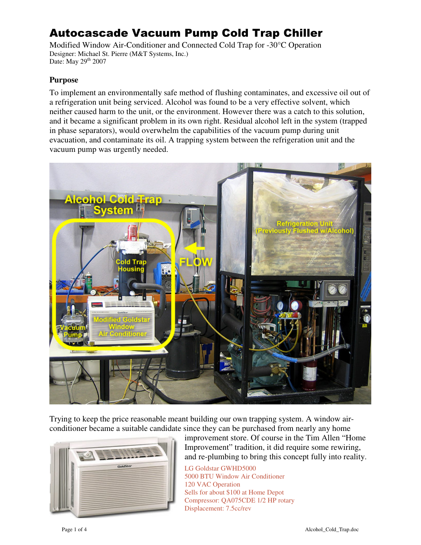# Autocascade Vacuum Pump Cold Trap Chiller

Modified Window Air-Conditioner and Connected Cold Trap for -30°C Operation Designer: Michael St. Pierre (M&T Systems, Inc.) Date: May 29<sup>th</sup> 2007

#### **Purpose**

To implement an environmentally safe method of flushing contaminates, and excessive oil out of a refrigeration unit being serviced. Alcohol was found to be a very effective solvent, which neither caused harm to the unit, or the environment. However there was a catch to this solution, and it became a significant problem in its own right. Residual alcohol left in the system (trapped in phase separators), would overwhelm the capabilities of the vacuum pump during unit evacuation, and contaminate its oil. A trapping system between the refrigeration unit and the vacuum pump was urgently needed.



Trying to keep the price reasonable meant building our own trapping system. A window airconditioner became a suitable candidate since they can be purchased from nearly any home



improvement store. Of course in the Tim Allen "Home Improvement" tradition, it did require some rewiring, and re-plumbing to bring this concept fully into reality.

LG Goldstar GWHD5000 5000 BTU Window Air Conditioner 120 VAC Operation Sells for about \$100 at Home Depot Compressor: QA075CDE 1/2 HP rotary Displacement: 7.5cc/rev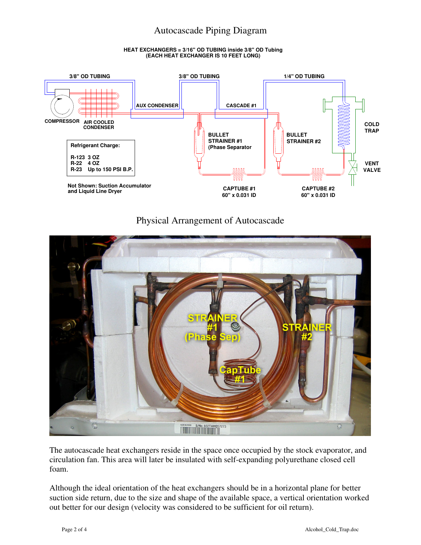## Autocascade Piping Diagram

#### **HEAT EXCHANGERS = 3/16" OD TUBING inside 3/8" OD Tubing (EACH HEAT EXCHANGER IS 10 FEET LONG)**



## Physical Arrangement of Autocascade



The autocascade heat exchangers reside in the space once occupied by the stock evaporator, and circulation fan. This area will later be insulated with self-expanding polyurethane closed cell foam.

Although the ideal orientation of the heat exchangers should be in a horizontal plane for better suction side return, due to the size and shape of the available space, a vertical orientation worked out better for our design (velocity was considered to be sufficient for oil return).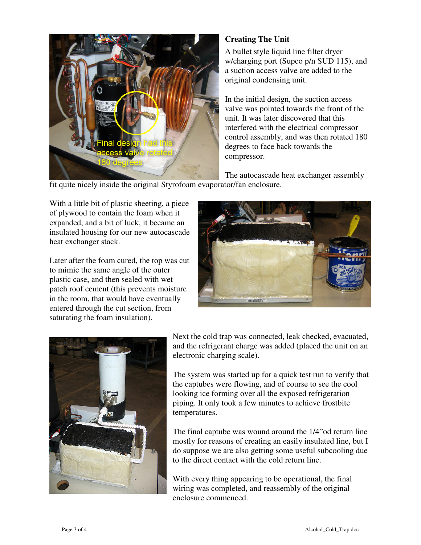

## **Creating The Unit**

A bullet style liquid line filter dryer w/charging port (Supco p/n SUD 115), and a suction access valve are added to the original condensing unit.

In the initial design, the suction access valve was pointed towards the front of the unit. It was later discovered that this interfered with the electrical compressor control assembly, and was then rotated 180 degrees to face back towards the compressor.

The autocascade heat exchanger assembly

fit quite nicely inside the original Styrofoam evaporator/fan enclosure.

With a little bit of plastic sheeting, a piece of plywood to contain the foam when it expanded, and a bit of luck, it became an insulated housing for our new autocascade heat exchanger stack.

Later after the foam cured, the top was cut to mimic the same angle of the outer plastic case, and then sealed with wet patch roof cement (this prevents moisture in the room, that would have eventually entered through the cut section, from saturating the foam insulation).





Next the cold trap was connected, leak checked, evacuated, and the refrigerant charge was added (placed the unit on an electronic charging scale).

The system was started up for a quick test run to verify that the captubes were flowing, and of course to see the cool looking ice forming over all the exposed refrigeration piping. It only took a few minutes to achieve frostbite temperatures.

The final captube was wound around the 1/4"od return line mostly for reasons of creating an easily insulated line, but I do suppose we are also getting some useful subcooling due to the direct contact with the cold return line.

With every thing appearing to be operational, the final wiring was completed, and reassembly of the original enclosure commenced.